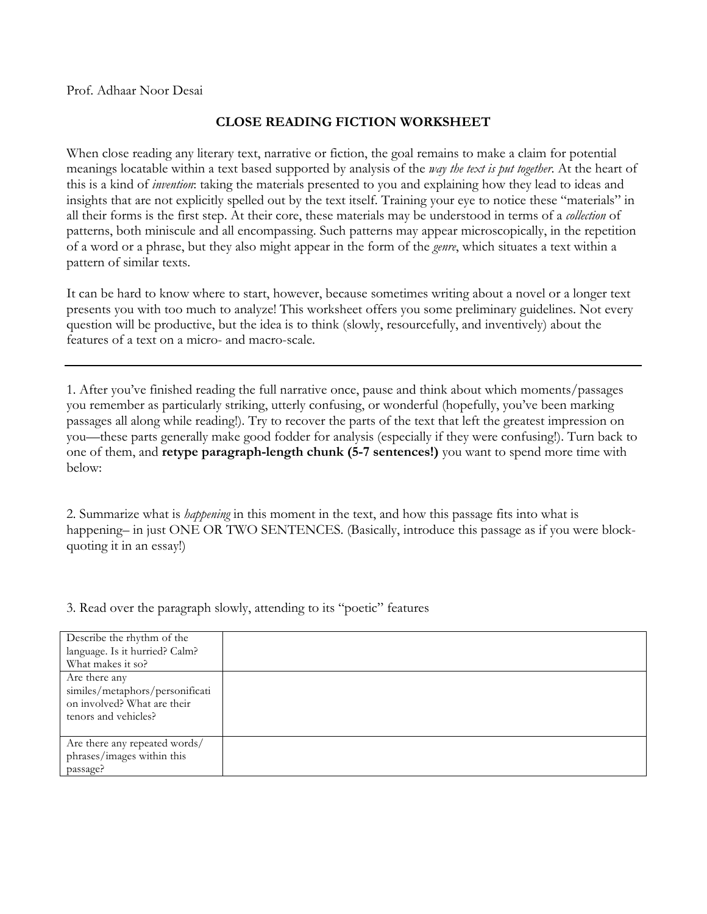Prof. Adhaar Noor Desai

## **CLOSE READING FICTION WORKSHEET**

When close reading any literary text, narrative or fiction, the goal remains to make a claim for potential meanings locatable within a text based supported by analysis of the *way the text is put together*. At the heart of this is a kind of *invention*: taking the materials presented to you and explaining how they lead to ideas and insights that are not explicitly spelled out by the text itself. Training your eye to notice these "materials" in all their forms is the first step. At their core, these materials may be understood in terms of a *collection* of patterns, both miniscule and all encompassing. Such patterns may appear microscopically, in the repetition of a word or a phrase, but they also might appear in the form of the *genre*, which situates a text within a pattern of similar texts.

It can be hard to know where to start, however, because sometimes writing about a novel or a longer text presents you with too much to analyze! This worksheet offers you some preliminary guidelines. Not every question will be productive, but the idea is to think (slowly, resourcefully, and inventively) about the features of a text on a micro- and macro-scale.

1. After you've finished reading the full narrative once, pause and think about which moments/passages you remember as particularly striking, utterly confusing, or wonderful (hopefully, you've been marking passages all along while reading!). Try to recover the parts of the text that left the greatest impression on you—these parts generally make good fodder for analysis (especially if they were confusing!). Turn back to one of them, and **retype paragraph-length chunk (5-7 sentences!)** you want to spend more time with below:

2. Summarize what is *happening* in this moment in the text, and how this passage fits into what is happening– in just ONE OR TWO SENTENCES. (Basically, introduce this passage as if you were blockquoting it in an essay!)

3. Read over the paragraph slowly, attending to its "poetic" features

| Describe the rhythm of the<br>language. Is it hurried? Calm?<br>What makes it so?                       |  |
|---------------------------------------------------------------------------------------------------------|--|
| Are there any<br>similes/metaphors/personificati<br>on involved? What are their<br>tenors and vehicles? |  |
| Are there any repeated words/<br>phrases/images within this<br>passage?                                 |  |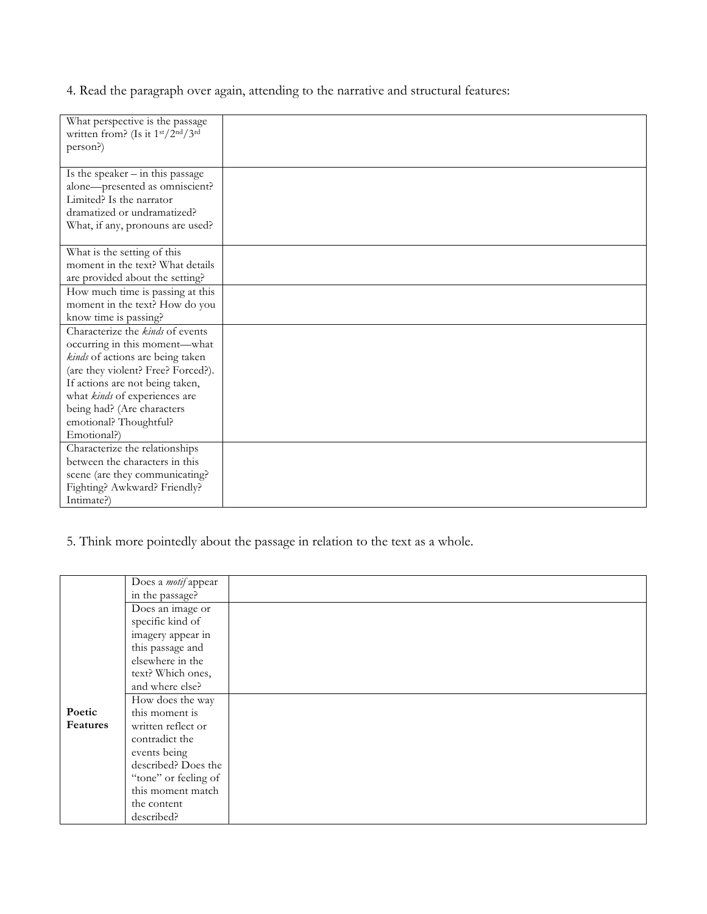4. Read the paragraph over again, attending to the narrative and structural features:

| What perspective is the passage    |  |
|------------------------------------|--|
| written from? (Is it 1st/2nd/3rd   |  |
| person?)                           |  |
|                                    |  |
| Is the speaker $-$ in this passage |  |
| alone-presented as omniscient?     |  |
| Limited? Is the narrator           |  |
| dramatized or undramatized?        |  |
| What, if any, pronouns are used?   |  |
|                                    |  |
| What is the setting of this        |  |
| moment in the text? What details   |  |
| are provided about the setting?    |  |
| How much time is passing at this   |  |
| moment in the text? How do you     |  |
| know time is passing?              |  |
| Characterize the kinds of events   |  |
| occurring in this moment-what      |  |
| kinds of actions are being taken   |  |
| (are they violent? Free? Forced?). |  |
| If actions are not being taken,    |  |
| what kinds of experiences are      |  |
| being had? (Are characters         |  |
| emotional? Thoughtful?             |  |
| Emotional?)                        |  |
| Characterize the relationships     |  |
| between the characters in this     |  |
| scene (are they communicating?     |  |
| Fighting? Awkward? Friendly?       |  |
| Intimate?)                         |  |

5. Think more pointedly about the passage in relation to the text as a whole.

|                 | Does a <i>motif</i> appear |  |
|-----------------|----------------------------|--|
|                 | in the passage?            |  |
|                 | Does an image or           |  |
|                 | specific kind of           |  |
|                 | imagery appear in          |  |
|                 | this passage and           |  |
|                 | elsewhere in the           |  |
|                 | text? Which ones,          |  |
|                 | and where else?            |  |
|                 | How does the way           |  |
| Poetic          | this moment is             |  |
| <b>Features</b> | written reflect or         |  |
|                 | contradict the             |  |
|                 | events being               |  |
|                 | described? Does the        |  |
|                 | "tone" or feeling of       |  |
|                 | this moment match          |  |
|                 | the content                |  |
|                 | described?                 |  |